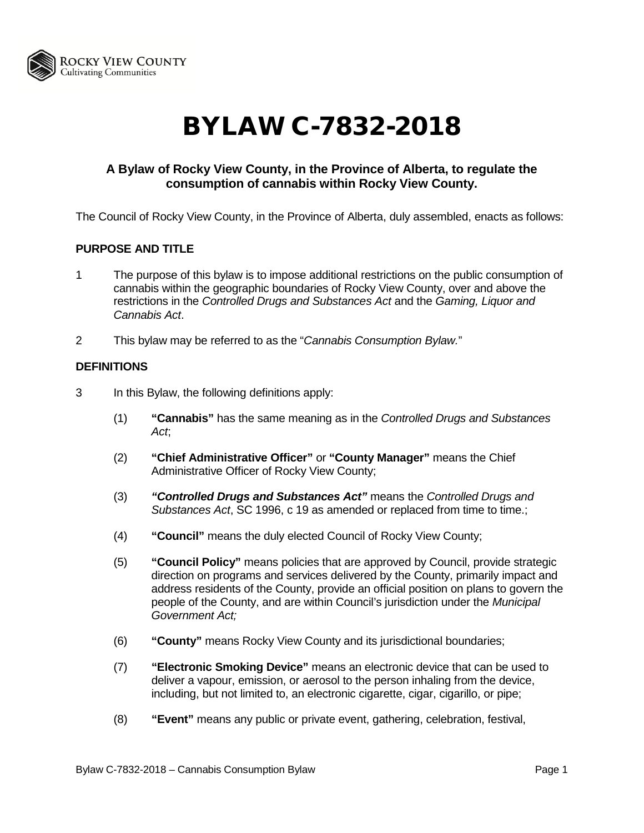

# BYLAW C-7832-2018

# **A Bylaw of Rocky View County, in the Province of Alberta, to regulate the consumption of cannabis within Rocky View County.**

The Council of Rocky View County, in the Province of Alberta, duly assembled, enacts as follows:

# **PURPOSE AND TITLE**

- 1 The purpose of this bylaw is to impose additional restrictions on the public consumption of cannabis within the geographic boundaries of Rocky View County, over and above the restrictions in the *Controlled Drugs and Substances Act* and the *Gaming, Liquor and Cannabis Act*.
- 2 This bylaw may be referred to as the "*Cannabis Consumption Bylaw.*"

## **DEFINITIONS**

- 3 In this Bylaw, the following definitions apply:
	- (1) **"Cannabis"** has the same meaning as in the *Controlled Drugs and Substances Act*;
	- (2) **"Chief Administrative Officer"** or **"County Manager"** means the Chief Administrative Officer of Rocky View County;
	- (3) *"Controlled Drugs and Substances Act"* means the *Controlled Drugs and Substances Act*, SC 1996, c 19 as amended or replaced from time to time.;
	- (4) **"Council"** means the duly elected Council of Rocky View County;
	- (5) **"Council Policy"** means policies that are approved by Council, provide strategic direction on programs and services delivered by the County, primarily impact and address residents of the County, provide an official position on plans to govern the people of the County, and are within Council's jurisdiction under the *Municipal Government Act;*
	- (6) **"County"** means Rocky View County and its jurisdictional boundaries;
	- (7) **"Electronic Smoking Device"** means an electronic device that can be used to deliver a vapour, emission, or aerosol to the person inhaling from the device, including, but not limited to, an electronic cigarette, cigar, cigarillo, or pipe;
	- (8) **"Event"** means any public or private event, gathering, celebration, festival,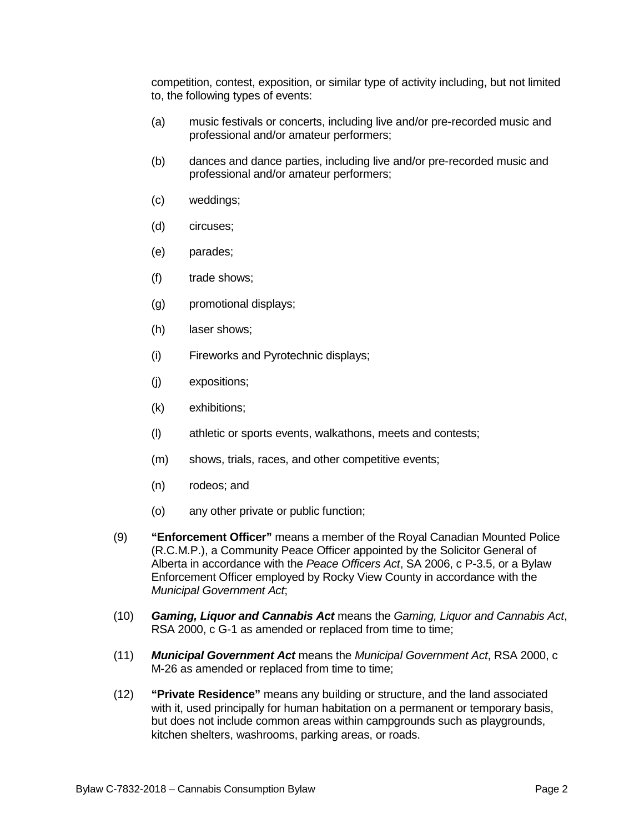competition, contest, exposition, or similar type of activity including, but not limited to, the following types of events:

- (a) music festivals or concerts, including live and/or pre-recorded music and professional and/or amateur performers;
- (b) dances and dance parties, including live and/or pre-recorded music and professional and/or amateur performers;
- (c) weddings;
- (d) circuses;
- (e) parades;
- (f) trade shows;
- (g) promotional displays;
- (h) laser shows;
- (i) Fireworks and Pyrotechnic displays;
- (j) expositions;
- (k) exhibitions;
- (l) athletic or sports events, walkathons, meets and contests;
- (m) shows, trials, races, and other competitive events;
- (n) rodeos; and
- (o) any other private or public function;
- (9) **"Enforcement Officer"** means a member of the Royal Canadian Mounted Police (R.C.M.P.), a Community Peace Officer appointed by the Solicitor General of Alberta in accordance with the *Peace Officers Act*, SA 2006, c P-3.5, or a Bylaw Enforcement Officer employed by Rocky View County in accordance with the *Municipal Government Act*;
- (10) *Gaming, Liquor and Cannabis Act* means the *Gaming, Liquor and Cannabis Act*, RSA 2000, c G-1 as amended or replaced from time to time;
- (11) *Municipal Government Act* means the *Municipal Government Act*, RSA 2000, c M-26 as amended or replaced from time to time;
- (12) **"Private Residence"** means any building or structure, and the land associated with it, used principally for human habitation on a permanent or temporary basis, but does not include common areas within campgrounds such as playgrounds, kitchen shelters, washrooms, parking areas, or roads.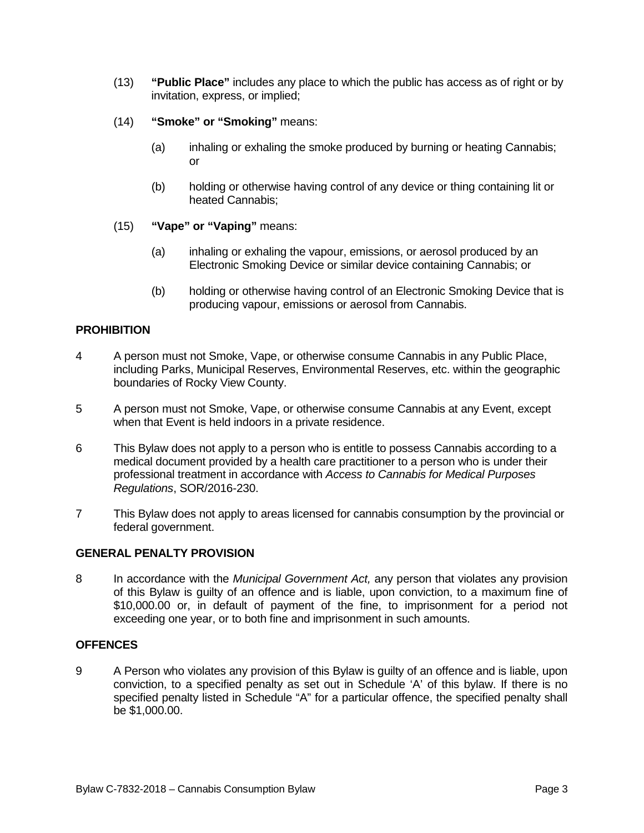- (13) **"Public Place"** includes any place to which the public has access as of right or by invitation, express, or implied;
- (14) **"Smoke" or "Smoking"** means:
	- (a) inhaling or exhaling the smoke produced by burning or heating Cannabis; or
	- (b) holding or otherwise having control of any device or thing containing lit or heated Cannabis;
- (15) **"Vape" or "Vaping"** means:
	- (a) inhaling or exhaling the vapour, emissions, or aerosol produced by an Electronic Smoking Device or similar device containing Cannabis; or
	- (b) holding or otherwise having control of an Electronic Smoking Device that is producing vapour, emissions or aerosol from Cannabis.

# **PROHIBITION**

- 4 A person must not Smoke, Vape, or otherwise consume Cannabis in any Public Place, including Parks, Municipal Reserves, Environmental Reserves, etc. within the geographic boundaries of Rocky View County.
- 5 A person must not Smoke, Vape, or otherwise consume Cannabis at any Event, except when that Event is held indoors in a private residence.
- 6 This Bylaw does not apply to a person who is entitle to possess Cannabis according to a medical document provided by a health care practitioner to a person who is under their professional treatment in accordance with *Access to Cannabis for Medical Purposes Regulations*, SOR/2016-230.
- 7 This Bylaw does not apply to areas licensed for cannabis consumption by the provincial or federal government.

## **GENERAL PENALTY PROVISION**

8 In accordance with the *Municipal Government Act,* any person that violates any provision of this Bylaw is guilty of an offence and is liable, upon conviction, to a maximum fine of \$10,000.00 or, in default of payment of the fine, to imprisonment for a period not exceeding one year, or to both fine and imprisonment in such amounts.

## **OFFENCES**

9 A Person who violates any provision of this Bylaw is guilty of an offence and is liable, upon conviction, to a specified penalty as set out in Schedule 'A' of this bylaw. If there is no specified penalty listed in Schedule "A" for a particular offence, the specified penalty shall be \$1,000.00.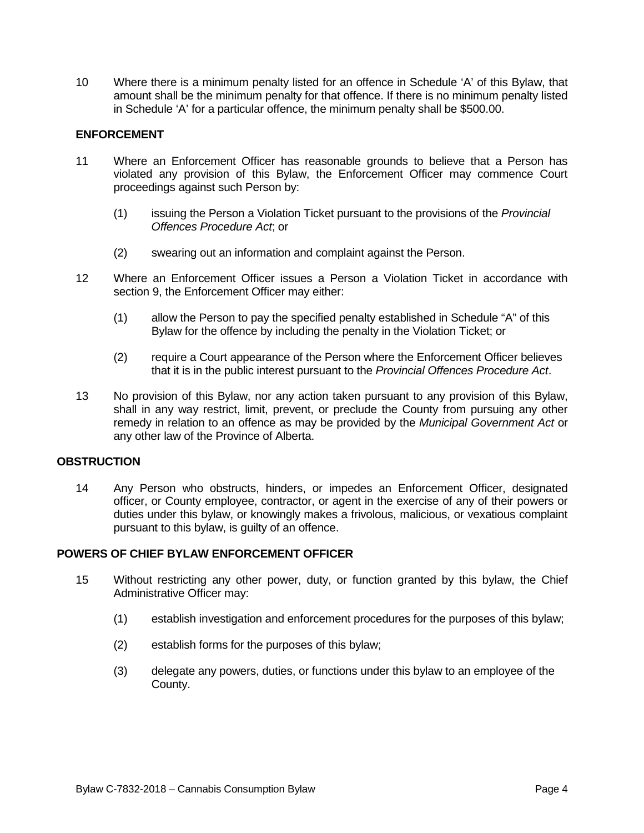10 Where there is a minimum penalty listed for an offence in Schedule 'A' of this Bylaw, that amount shall be the minimum penalty for that offence. If there is no minimum penalty listed in Schedule 'A' for a particular offence, the minimum penalty shall be \$500.00.

# **ENFORCEMENT**

- 11 Where an Enforcement Officer has reasonable grounds to believe that a Person has violated any provision of this Bylaw, the Enforcement Officer may commence Court proceedings against such Person by:
	- (1) issuing the Person a Violation Ticket pursuant to the provisions of the *Provincial Offences Procedure Act*; or
	- (2) swearing out an information and complaint against the Person.
- 12 Where an Enforcement Officer issues a Person a Violation Ticket in accordance with section 9, the Enforcement Officer may either:
	- (1) allow the Person to pay the specified penalty established in Schedule "A" of this Bylaw for the offence by including the penalty in the Violation Ticket; or
	- (2) require a Court appearance of the Person where the Enforcement Officer believes that it is in the public interest pursuant to the *Provincial Offences Procedure Act*.
- 13 No provision of this Bylaw, nor any action taken pursuant to any provision of this Bylaw, shall in any way restrict, limit, prevent, or preclude the County from pursuing any other remedy in relation to an offence as may be provided by the *Municipal Government Act* or any other law of the Province of Alberta.

## **OBSTRUCTION**

14 Any Person who obstructs, hinders, or impedes an Enforcement Officer, designated officer, or County employee, contractor, or agent in the exercise of any of their powers or duties under this bylaw, or knowingly makes a frivolous, malicious, or vexatious complaint pursuant to this bylaw, is guilty of an offence.

## **POWERS OF CHIEF BYLAW ENFORCEMENT OFFICER**

- 15 Without restricting any other power, duty, or function granted by this bylaw, the Chief Administrative Officer may:
	- (1) establish investigation and enforcement procedures for the purposes of this bylaw;
	- (2) establish forms for the purposes of this bylaw;
	- (3) delegate any powers, duties, or functions under this bylaw to an employee of the County.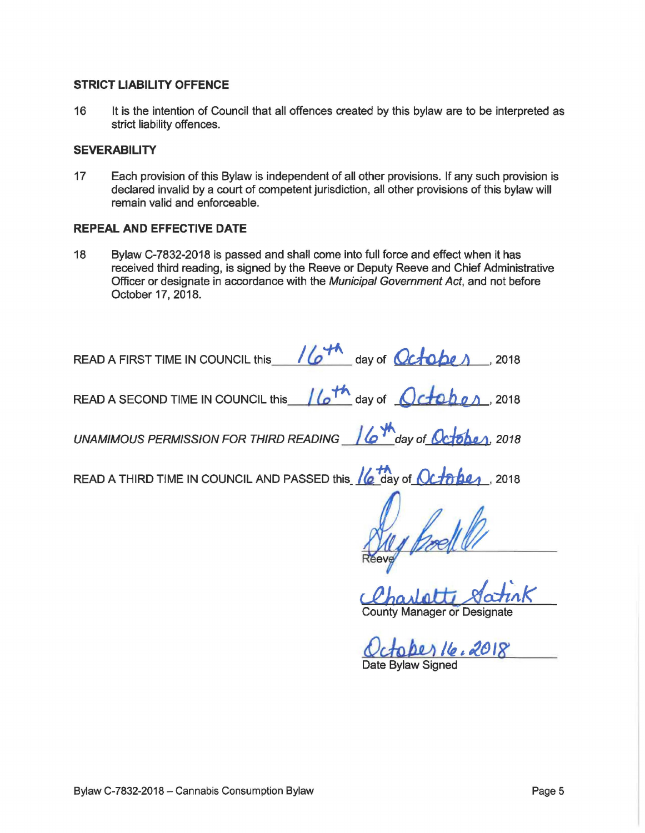# STRICT LIABILITY OFFENCE

16 It is the intention of Council that all offences created by this bylaw are to be interpreted as strict liability offences.

# **SEVERABILITY**

17 Each provision of this Bylaw is independent of all other provisions. If any such provision is declared invalid by a court of competent jurisdiction, all other provisions of this bylaw will remain valid and enforceable.

# REPEAL AND EFFECTIVE DATE

18 Bylaw C-7832-2018 is passed and shall come into full force and effect when it has received third reading, is signed by the Reeve or Deputy Reeve and Chief Administrative Officer or designate in accordance with the Municipal Government Act, and not before October 17, 2018.

| READ A FIRST TIME IN COUNCIL this 16 <sup>+1</sup> day of Octobe 1, 2018                    |
|---------------------------------------------------------------------------------------------|
| READ A SECOND TIME IN COUNCIL this $\sqrt{6^{th}}$ day of $\sqrt{6^{th}}$ D $\sqrt{6^{th}}$ |
| UNAMIMOUS PERMISSION FOR THIRD READING 16 May of October, 2018                              |
| READ A THIRD TIME IN COUNCIL AND PASSED this 16 day of October , 2018                       |
|                                                                                             |
|                                                                                             |
| Charlotte Satirk                                                                            |

County Manager or Designate

Octoper 16.2018